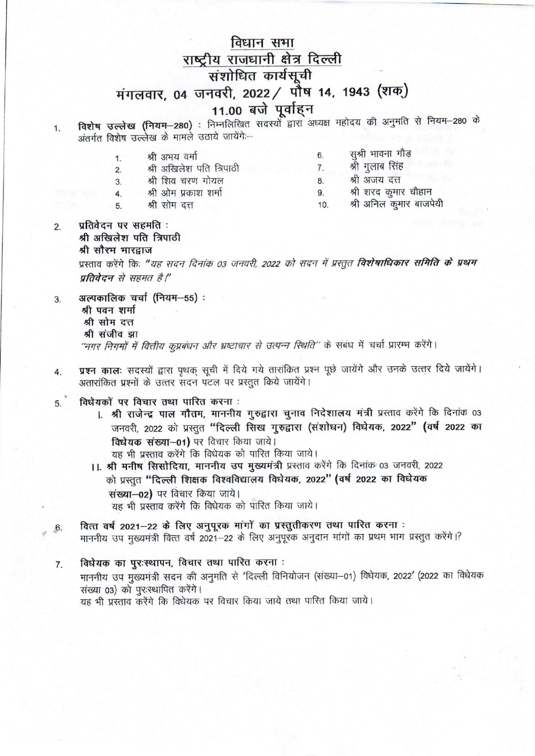# विधान सभा राष्ट्रीय राजधानी क्षेत्र दिल्ली संशोधित कार्यसूची मंगलवार, 04 जनवरी, 2022 / पौष 14, 1943 (शक्) 11.00 बजे पूर्वाहन

- विशेष उल्लेख (नियम-280) : निम्नलिखित सदस्यों द्वारा अध्यक्ष महोदय की अनुमति से नियम-280 के 1. अंतर्गत विशेष उल्लेख के मामले उठाये जायेंगे:--
	- सश्री भावना गौड़ 6. श्री अभय वर्मा  $\mathbf{1}$ श्री गुलाब सिंह श्री अखिलेश पति त्रिपाठी 7.  $2.$ श्री अजय दत्त श्री शिव चरण गोयल  $3.$ 8. श्री शरद कुमार चौहान श्री ओम प्रकाश शर्मा 9.  $4.$

 $10.$ 

श्री अनिल कुमार बाजपेयी

- श्री सोम दत्त  $5<sup>5</sup>$
- प्रतिबेदन पर सहमति:  $2.$ श्री अखिलेश पति त्रिपाठी श्री सौरम भारद्राज प्रस्ताव करेंगे कि: "यह सदन दिनांक 03 जनवरी, 2022 को सदन में प्रस्तुत **विशेषाधिकार समिति के प्रथम** प्रतिवेदन से सहमत है।"
- अल्पकालिक चर्चा (नियम-55): 3. श्री पवन शर्मा श्री सोम दत्त श्री संजीव झा "नगर निगमों में वित्तीय कूप्रबंधन और भ्रष्टाचार से उत्पन्न स्थिति" के संबंध में चर्चा प्रारम्भ करेंगे।
- प्रश्न कालः सदस्यों द्वारा पृथक सूची में दिये गये तारांकित प्रश्न पूछे जायेंगे और उनके उत्तर दिये जायेंगे।  $\overline{4}$ . अतारांकित प्रश्नों के उत्तर सदन पटल पर प्रस्तुत किये जायेंगे।
- विधेयकों पर विचार तथा पारित करना : 5.
	- 1. श्री राजेन्द्र पाल गौतम, माननीय गुरुद्वारा चुनाव निदेशालय मंत्री प्रस्ताव करेंगे कि दिनांक 03 जनवरी, 2022 को प्रस्तुत "दिल्ली सिख गुरुद्वारा (संशोधन) विघेयक, 2022" (वर्ष 2022 का विधेयक संख्या-01) पर विचार किया जाये।
	- यह भी प्रस्ताव करेंगे कि विधेयक को पारित किया जाये। 11. श्री मनीष सिसोदिया, माननीय उप मुख्यमंत्री प्रस्ताव करेंगे कि दिनांक 03 जनवरी, 2022 को प्रस्तुत "दिल्ली शिक्षक विश्वविद्यालय विधेयक, 2022" (वर्ष 2022 का विधेयक

संख्या-02) पर विचार किया जाये। यह भी प्रस्ताव करेंगे कि विधेयक को पारित किया जाये।

- वित्त वर्ष 2021-22 के लिए अनुपूरक मांगों का प्रस्तुतीकरण तथा पारित करना :  $6.$ माननीय उप मुख्यमंत्री वित्त वर्ष 2021-22 के लिए अनुपूरक अनुदान मांगों का प्रथम भाग प्रस्तुत करेंगे।?
- विधेयक का पुरःस्थापन, विचार तथा पारित करना : 7. माननीय उप मुख्यमंत्री सदन की अनुमति से 'दिल्ली विनियोजन (संख्या-01) विधेयक, 2022' (2022 का विधेयक संख्या 03) को पुरःस्थापित करेंगे। यह भी प्रस्ताव करेंगे कि विधेयक पर विचार किया जाये तथा पारित किया जाये।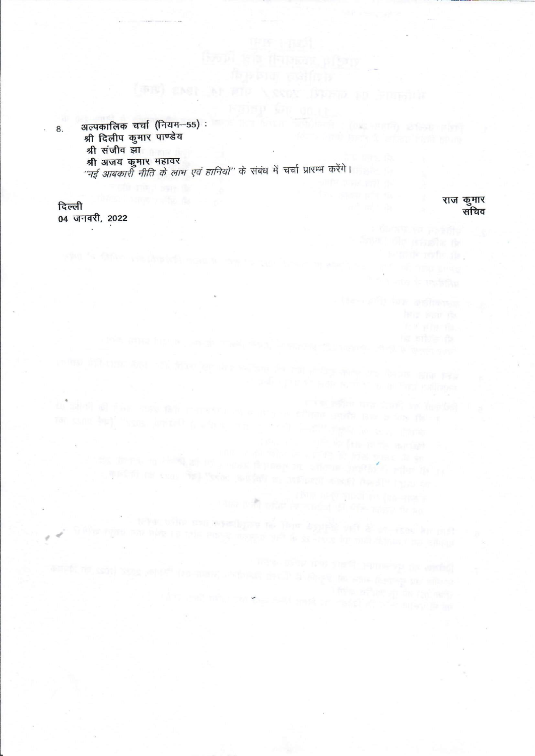अल्पकालिक चर्चा (नियम-55) : **TOXE-PRITTY STRAKTERY** 8. श्री दिलीप कूमार पाण्डेय श्री संजीव झा श्री अजय कुमार महावर "नई आबकारी नीति के लाभ एवं हानियों" के संबंध में चर्चा प्रारम्भ करेंगे।

(see) cast at sit versy from to running

the division control of the control freeze on where provided refer the weight or ever fire were weight to influent week has I' the to

brie "Étaile Margascia și

 $\label{eq:3.1} \begin{array}{ll} \text{dim} & \text{dim} & \text{dim} \text{proj} \text{ mod } \text{res} \text{ mod } \text{res} \\ \text{dim} & \text{dim} & \text{dim} \text{proj} \text{ mod } \text{proj} \text{ mod } \text{res} \text{ mod } \text{res} \end{array}$ 

the two best and an resolve with allegating

a collection and expediging the User deposit of a value of story her duff

दिल्ली 04 जनवरी, 2022 राज कुमार सचिव